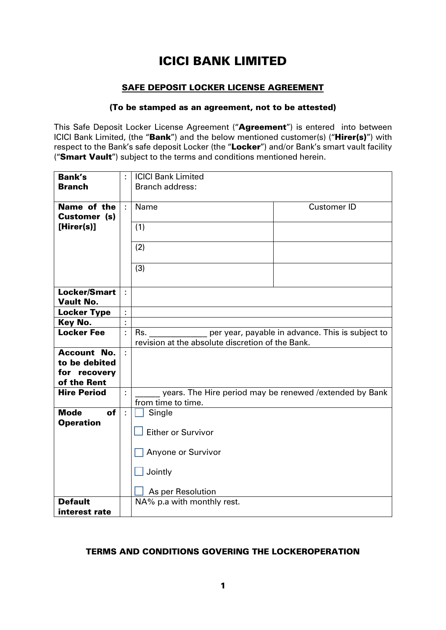# ICICI BANK LIMITED

### SAFE DEPOSIT LOCKER LICENSE AGREEMENT

#### (To be stamped as an agreement, not to be attested)

This Safe Deposit Locker License Agreement ("Agreement") is entered into between ICICI Bank Limited, (the "Bank") and the below mentioned customer(s) ("Hirer(s)") with respect to the Bank's safe deposit Locker (the "Locker") and/or Bank's smart vault facility ("Smart Vault") subject to the terms and conditions mentioned herein.

| <b>Bank's</b>                           |    | <b>ICICI Bank Limited</b>                                                                                   |
|-----------------------------------------|----|-------------------------------------------------------------------------------------------------------------|
| <b>Branch</b>                           |    | <b>Branch address:</b>                                                                                      |
| Name of the<br>Customer (s)             | ÷  | Name<br><b>Customer ID</b>                                                                                  |
| [Hirer(s)]                              |    | (1)                                                                                                         |
|                                         |    | (2)                                                                                                         |
|                                         |    | (3)                                                                                                         |
| <b>Locker/Smart</b><br><b>Vault No.</b> | ÷  |                                                                                                             |
| <b>Locker Type</b>                      | ł, |                                                                                                             |
| Key No.                                 | ä, |                                                                                                             |
| <b>Locker Fee</b>                       |    | Rs.<br>per year, payable in advance. This is subject to<br>revision at the absolute discretion of the Bank. |
| <b>Account No.</b>                      |    |                                                                                                             |
| to be debited                           |    |                                                                                                             |
| for recovery                            |    |                                                                                                             |
| of the Rent                             |    |                                                                                                             |
| <b>Hire Period</b>                      |    | years. The Hire period may be renewed / extended by Bank                                                    |
|                                         |    | from time to time.                                                                                          |
| <b>Mode</b><br><b>of</b>                | ÷  | Single                                                                                                      |
| <b>Operation</b>                        |    |                                                                                                             |
|                                         |    | <b>Either or Survivor</b>                                                                                   |
|                                         |    |                                                                                                             |
|                                         |    | Anyone or Survivor                                                                                          |
|                                         |    | Jointly                                                                                                     |
|                                         |    | As per Resolution                                                                                           |
| <b>Default</b>                          |    | NA% p.a with monthly rest.                                                                                  |
| interest rate                           |    |                                                                                                             |

### TERMS AND CONDITIONS GOVERING THE LOCKEROPERATION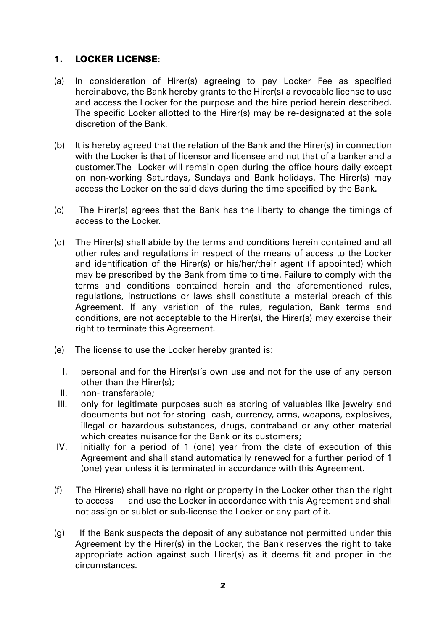# 1. LOCKER LICENSE:

- (a) In consideration of Hirer(s) agreeing to pay Locker Fee as specified hereinabove, the Bank hereby grants to the Hirer(s) a revocable license to use and access the Locker for the purpose and the hire period herein described. The specific Locker allotted to the Hirer(s) may be re-designated at the sole discretion of the Bank.
- (b) It is hereby agreed that the relation of the Bank and the Hirer(s) in connection with the Locker is that of licensor and licensee and not that of a banker and a customer.The Locker will remain open during the office hours daily except on non-working Saturdays, Sundays and Bank holidays. The Hirer(s) may access the Locker on the said days during the time specified by the Bank.
- (c) The Hirer(s) agrees that the Bank has the liberty to change the timings of access to the Locker.
- (d) The Hirer(s) shall abide by the terms and conditions herein contained and all other rules and regulations in respect of the means of access to the Locker and identification of the Hirer(s) or his/her/their agent (if appointed) which may be prescribed by the Bank from time to time. Failure to comply with the terms and conditions contained herein and the aforementioned rules, regulations, instructions or laws shall constitute a material breach of this Agreement. If any variation of the rules, regulation, Bank terms and conditions, are not acceptable to the Hirer(s), the Hirer(s) may exercise their right to terminate this Agreement.
- (e) The license to use the Locker hereby granted is:
	- I. personal and for the Hirer(s)'s own use and not for the use of any person other than the Hirer(s);
	- II. non- transferable;
- III. only for legitimate purposes such as storing of valuables like jewelry and documents but not for storing cash, currency, arms, weapons, explosives, illegal or hazardous substances, drugs, contraband or any other material which creates nuisance for the Bank or its customers;
- IV. initially for a period of 1 (one) year from the date of execution of this Agreement and shall stand automatically renewed for a further period of 1 (one) year unless it is terminated in accordance with this Agreement.
- (f) The Hirer(s) shall have no right or property in the Locker other than the right to access and use the Locker in accordance with this Agreement and shall not assign or sublet or sub-license the Locker or any part of it.
- (g) If the Bank suspects the deposit of any substance not permitted under this Agreement by the Hirer(s) in the Locker, the Bank reserves the right to take appropriate action against such Hirer(s) as it deems fit and proper in the circumstances.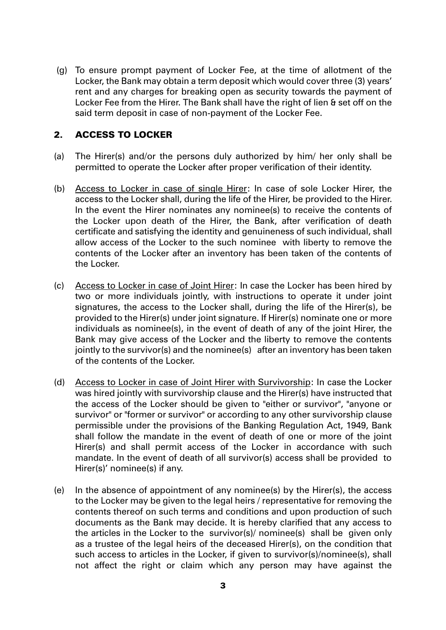(g) To ensure prompt payment of Locker Fee, at the time of allotment of the Locker, the Bank may obtain a term deposit which would cover three (3) years' rent and any charges for breaking open as security towards the payment of Locker Fee from the Hirer. The Bank shall have the right of lien & set off on the said term deposit in case of non-payment of the Locker Fee.

# 2. ACCESS TO LOCKER

- (a) The Hirer(s) and/or the persons duly authorized by him/ her only shall be permitted to operate the Locker after proper verification of their identity.
- (b) Access to Locker in case of single Hirer: In case of sole Locker Hirer, the access to the Locker shall, during the life of the Hirer, be provided to the Hirer. In the event the Hirer nominates any nominee(s) to receive the contents of the Locker upon death of the Hirer, the Bank, after verification of death certificate and satisfying the identity and genuineness of such individual, shall allow access of the Locker to the such nominee with liberty to remove the contents of the Locker after an inventory has been taken of the contents of the Locker.
- (c) Access to Locker in case of Joint Hirer: In case the Locker has been hired by two or more individuals jointly, with instructions to operate it under joint signatures, the access to the Locker shall, during the life of the Hirer(s), be provided to the Hirer(s) under joint signature. If Hirer(s) nominate one or more individuals as nominee(s), in the event of death of any of the joint Hirer, the Bank may give access of the Locker and the liberty to remove the contents jointly to the survivor(s) and the nominee(s) after an inventory has been taken of the contents of the Locker.
- (d) Access to Locker in case of Joint Hirer with Survivorship: In case the Locker was hired jointly with survivorship clause and the Hirer(s) have instructed that the access of the Locker should be given to "either or survivor", "anyone or survivor" or "former or survivor" or according to any other survivorship clause permissible under the provisions of the Banking Regulation Act, 1949, Bank shall follow the mandate in the event of death of one or more of the joint Hirer(s) and shall permit access of the Locker in accordance with such mandate. In the event of death of all survivor(s) access shall be provided to Hirer(s)' nominee(s) if any.
- (e) In the absence of appointment of any nominee(s) by the Hirer(s), the access to the Locker may be given to the legal heirs / representative for removing the contents thereof on such terms and conditions and upon production of such documents as the Bank may decide. It is hereby clarified that any access to the articles in the Locker to the survivor(s)/ nominee(s) shall be given only as a trustee of the legal heirs of the deceased Hirer(s), on the condition that such access to articles in the Locker, if given to survivor(s)/nominee(s), shall not affect the right or claim which any person may have against the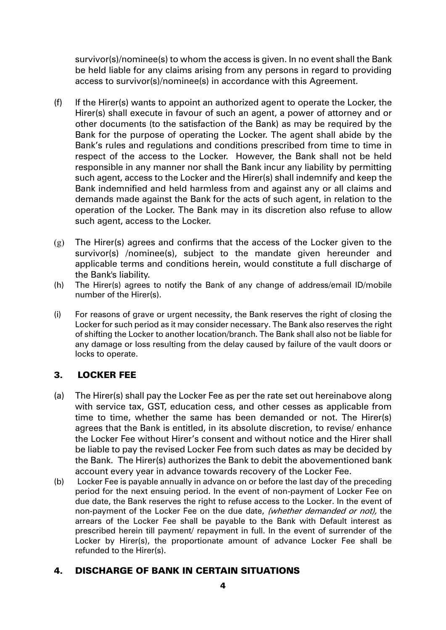survivor(s)/nominee(s) to whom the access is given. In no event shall the Bank be held liable for any claims arising from any persons in regard to providing access to survivor(s)/nominee(s) in accordance with this Agreement.

- (f) If the Hirer(s) wants to appoint an authorized agent to operate the Locker, the Hirer(s) shall execute in favour of such an agent, a power of attorney and or other documents (to the satisfaction of the Bank) as may be required by the Bank for the purpose of operating the Locker. The agent shall abide by the Bank's rules and regulations and conditions prescribed from time to time in respect of the access to the Locker. However, the Bank shall not be held responsible in any manner nor shall the Bank incur any liability by permitting such agent, access to the Locker and the Hirer(s) shall indemnify and keep the Bank indemnified and held harmless from and against any or all claims and demands made against the Bank for the acts of such agent, in relation to the operation of the Locker. The Bank may in its discretion also refuse to allow such agent, access to the Locker.
- (g) The Hirer(s) agrees and confirms that the access of the Locker given to the survivor(s) /nominee(s), subject to the mandate given hereunder and applicable terms and conditions herein, would constitute a full discharge of the Bank's liability.
- (h) The Hirer(s) agrees to notify the Bank of any change of address/email ID/mobile number of the Hirer(s).
- (i) For reasons of grave or urgent necessity, the Bank reserves the right of closing the Locker for such period as it may consider necessary. The Bank also reserves the right of shifting the Locker to another location/branch. The Bank shall also not be liable for any damage or loss resulting from the delay caused by failure of the vault doors or locks to operate.

### 3. LOCKER FEE

- (a) The Hirer(s) shall pay the Locker Fee as per the rate set out hereinabove along with service tax, GST, education cess, and other cesses as applicable from time to time, whether the same has been demanded or not. The Hirer(s) agrees that the Bank is entitled, in its absolute discretion, to revise/ enhance the Locker Fee without Hirer's consent and without notice and the Hirer shall be liable to pay the revised Locker Fee from such dates as may be decided by the Bank. The Hirer(s) authorizes the Bank to debit the abovementioned bank account every year in advance towards recovery of the Locker Fee.
- (b) Locker Fee is payable annually in advance on or before the last day of the preceding period for the next ensuing period. In the event of non-payment of Locker Fee on due date, the Bank reserves the right to refuse access to the Locker. In the event of non-payment of the Locker Fee on the due date, (whether demanded or not), the arrears of the Locker Fee shall be payable to the Bank with Default interest as prescribed herein till payment/ repayment in full. In the event of surrender of the Locker by Hirer(s), the proportionate amount of advance Locker Fee shall be refunded to the Hirer(s).

### 4. DISCHARGE OF BANK IN CERTAIN SITUATIONS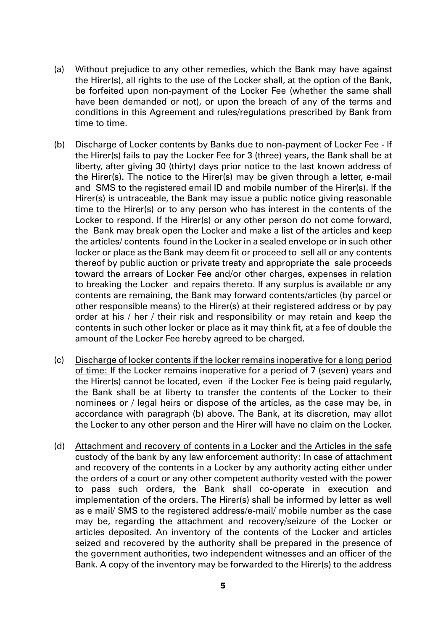- (a) Without prejudice to any other remedies, which the Bank may have against the Hirer(s), all rights to the use of the Locker shall, at the option of the Bank, be forfeited upon non-payment of the Locker Fee (whether the same shall have been demanded or not), or upon the breach of any of the terms and conditions in this Agreement and rules/regulations prescribed by Bank from time to time.
- (b) Discharge of Locker contents by Banks due to non-payment of Locker Fee If the Hirer(s) fails to pay the Locker Fee for 3 (three) years, the Bank shall be at liberty, after giving 30 (thirty) days prior notice to the last known address of the Hirer(s). The notice to the Hirer(s) may be given through a letter, e-mail and SMS to the registered email ID and mobile number of the Hirer(s). If the Hirer(s) is untraceable, the Bank may issue a public notice giving reasonable time to the Hirer(s) or to any person who has interest in the contents of the Locker to respond. If the Hirer(s) or any other person do not come forward, the Bank may break open the Locker and make a list of the articles and keep the articles/ contents found in the Locker in a sealed envelope or in such other locker or place as the Bank may deem fit or proceed to sell all or any contents thereof by public auction or private treaty and appropriate the sale proceeds toward the arrears of Locker Fee and/or other charges, expenses in relation to breaking the Locker and repairs thereto. If any surplus is available or any contents are remaining, the Bank may forward contents/articles (by parcel or other responsible means) to the Hirer(s) at their registered address or by pay order at his / her / their risk and responsibility or may retain and keep the contents in such other locker or place as it may think fit, at a fee of double the amount of the Locker Fee hereby agreed to be charged.
- (c) Discharge of locker contents if the locker remains inoperative for a long period of time: If the Locker remains inoperative for a period of 7 (seven) years and the Hirer(s) cannot be located, even if the Locker Fee is being paid regularly, the Bank shall be at liberty to transfer the contents of the Locker to their nominees or / legal heirs or dispose of the articles, as the case may be, in accordance with paragraph (b) above. The Bank, at its discretion, may allot the Locker to any other person and the Hirer will have no claim on the Locker.
- (d) Attachment and recovery of contents in a Locker and the Articles in the safe custody of the bank by any law enforcement authority: In case of attachment and recovery of the contents in a Locker by any authority acting either under the orders of a court or any other competent authority vested with the power to pass such orders, the Bank shall co-operate in execution and implementation of the orders. The Hirer(s) shall be informed by letter as well as e mail/ SMS to the registered address/e-mail/ mobile number as the case may be, regarding the attachment and recovery/seizure of the Locker or articles deposited. An inventory of the contents of the Locker and articles seized and recovered by the authority shall be prepared in the presence of the government authorities, two independent witnesses and an officer of the Bank. A copy of the inventory may be forwarded to the Hirer(s) to the address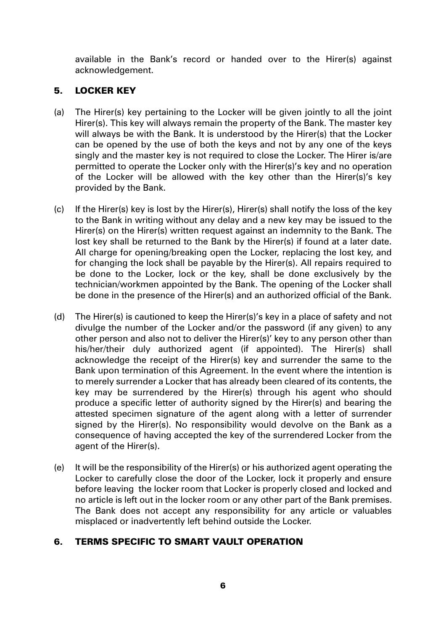available in the Bank's record or handed over to the Hirer(s) against acknowledgement.

# 5. LOCKER KEY

- (a) The Hirer(s) key pertaining to the Locker will be given jointly to all the joint Hirer(s). This key will always remain the property of the Bank. The master key will always be with the Bank. It is understood by the Hirer(s) that the Locker can be opened by the use of both the keys and not by any one of the keys singly and the master key is not required to close the Locker. The Hirer is/are permitted to operate the Locker only with the Hirer(s)'s key and no operation of the Locker will be allowed with the key other than the Hirer(s)'s key provided by the Bank.
- (c) If the Hirer(s) key is lost by the Hirer(s), Hirer(s) shall notify the loss of the key to the Bank in writing without any delay and a new key may be issued to the Hirer(s) on the Hirer(s) written request against an indemnity to the Bank. The lost key shall be returned to the Bank by the Hirer(s) if found at a later date. All charge for opening/breaking open the Locker, replacing the lost key, and for changing the lock shall be payable by the Hirer(s). All repairs required to be done to the Locker, lock or the key, shall be done exclusively by the technician/workmen appointed by the Bank. The opening of the Locker shall be done in the presence of the Hirer(s) and an authorized official of the Bank.
- (d) The Hirer(s) is cautioned to keep the Hirer(s)'s key in a place of safety and not divulge the number of the Locker and/or the password (if any given) to any other person and also not to deliver the Hirer(s)' key to any person other than his/her/their duly authorized agent (if appointed). The Hirer(s) shall acknowledge the receipt of the Hirer(s) key and surrender the same to the Bank upon termination of this Agreement. In the event where the intention is to merely surrender a Locker that has already been cleared of its contents, the key may be surrendered by the Hirer(s) through his agent who should produce a specific letter of authority signed by the Hirer(s) and bearing the attested specimen signature of the agent along with a letter of surrender signed by the Hirer(s). No responsibility would devolve on the Bank as a consequence of having accepted the key of the surrendered Locker from the agent of the Hirer(s).
- (e) It will be the responsibility of the Hirer(s) or his authorized agent operating the Locker to carefully close the door of the Locker, lock it properly and ensure before leaving the locker room that Locker is properly closed and locked and no article is left out in the locker room or any other part of the Bank premises. The Bank does not accept any responsibility for any article or valuables misplaced or inadvertently left behind outside the Locker.

# 6. TERMS SPECIFIC TO SMART VAULT OPERATION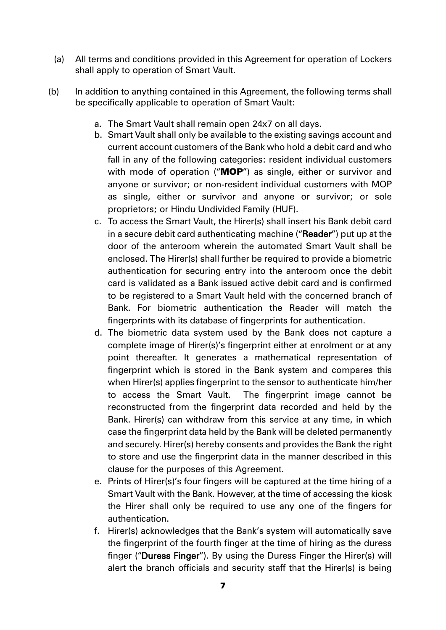- (a) All terms and conditions provided in this Agreement for operation of Lockers shall apply to operation of Smart Vault.
- (b) In addition to anything contained in this Agreement, the following terms shall be specifically applicable to operation of Smart Vault:
	- a. The Smart Vault shall remain open 24x7 on all days.
	- b. Smart Vault shall only be available to the existing savings account and current account customers of the Bank who hold a debit card and who fall in any of the following categories: resident individual customers with mode of operation ("MOP") as single, either or survivor and anyone or survivor; or non-resident individual customers with MOP as single, either or survivor and anyone or survivor; or sole proprietors; or Hindu Undivided Family (HUF).
	- c. To access the Smart Vault, the Hirer(s) shall insert his Bank debit card in a secure debit card authenticating machine ("Reader") put up at the door of the anteroom wherein the automated Smart Vault shall be enclosed. The Hirer(s) shall further be required to provide a biometric authentication for securing entry into the anteroom once the debit card is validated as a Bank issued active debit card and is confirmed to be registered to a Smart Vault held with the concerned branch of Bank. For biometric authentication the Reader will match the fingerprints with its database of fingerprints for authentication.
	- d. The biometric data system used by the Bank does not capture a complete image of Hirer(s)'s fingerprint either at enrolment or at any point thereafter. It generates a mathematical representation of fingerprint which is stored in the Bank system and compares this when Hirer(s) applies fingerprint to the sensor to authenticate him/her to access the Smart Vault. The fingerprint image cannot be reconstructed from the fingerprint data recorded and held by the Bank. Hirer(s) can withdraw from this service at any time, in which case the fingerprint data held by the Bank will be deleted permanently and securely. Hirer(s) hereby consents and provides the Bank the right to store and use the fingerprint data in the manner described in this clause for the purposes of this Agreement.
	- e. Prints of Hirer(s)'s four fingers will be captured at the time hiring of a Smart Vault with the Bank. However, at the time of accessing the kiosk the Hirer shall only be required to use any one of the fingers for authentication.
	- f. Hirer(s) acknowledges that the Bank's system will automatically save the fingerprint of the fourth finger at the time of hiring as the duress finger ("Duress Finger"). By using the Duress Finger the Hirer(s) will alert the branch officials and security staff that the Hirer(s) is being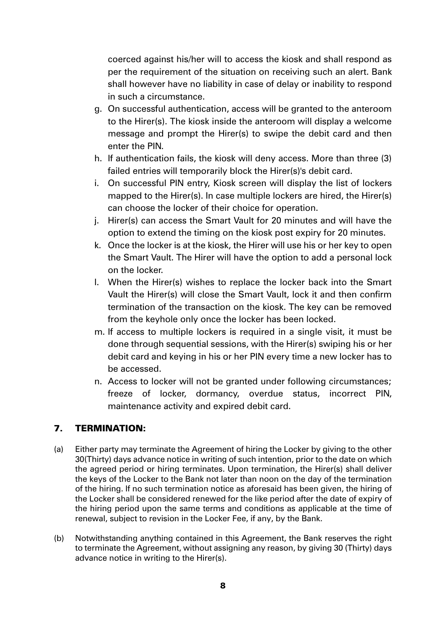coerced against his/her will to access the kiosk and shall respond as per the requirement of the situation on receiving such an alert. Bank shall however have no liability in case of delay or inability to respond in such a circumstance.

- g. On successful authentication, access will be granted to the anteroom to the Hirer(s). The kiosk inside the anteroom will display a welcome message and prompt the Hirer(s) to swipe the debit card and then enter the PIN.
- h. If authentication fails, the kiosk will deny access. More than three (3) failed entries will temporarily block the Hirer(s)'s debit card.
- i. On successful PIN entry, Kiosk screen will display the list of lockers mapped to the Hirer(s). In case multiple lockers are hired, the Hirer(s) can choose the locker of their choice for operation.
- j. Hirer(s) can access the Smart Vault for 20 minutes and will have the option to extend the timing on the kiosk post expiry for 20 minutes.
- k. Once the locker is at the kiosk, the Hirer will use his or her key to open the Smart Vault. The Hirer will have the option to add a personal lock on the locker.
- l. When the Hirer(s) wishes to replace the locker back into the Smart Vault the Hirer(s) will close the Smart Vault, lock it and then confirm termination of the transaction on the kiosk. The key can be removed from the keyhole only once the locker has been locked.
- m. If access to multiple lockers is required in a single visit, it must be done through sequential sessions, with the Hirer(s) swiping his or her debit card and keying in his or her PIN every time a new locker has to be accessed.
- n. Access to locker will not be granted under following circumstances; freeze of locker, dormancy, overdue status, incorrect PIN, maintenance activity and expired debit card.

# 7. TERMINATION:

- (a) Either party may terminate the Agreement of hiring the Locker by giving to the other 30(Thirty) days advance notice in writing of such intention, prior to the date on which the agreed period or hiring terminates. Upon termination, the Hirer(s) shall deliver the keys of the Locker to the Bank not later than noon on the day of the termination of the hiring. If no such termination notice as aforesaid has been given, the hiring of the Locker shall be considered renewed for the like period after the date of expiry of the hiring period upon the same terms and conditions as applicable at the time of renewal, subject to revision in the Locker Fee, if any, by the Bank.
- (b) Notwithstanding anything contained in this Agreement, the Bank reserves the right to terminate the Agreement, without assigning any reason, by giving 30 (Thirty) days advance notice in writing to the Hirer(s).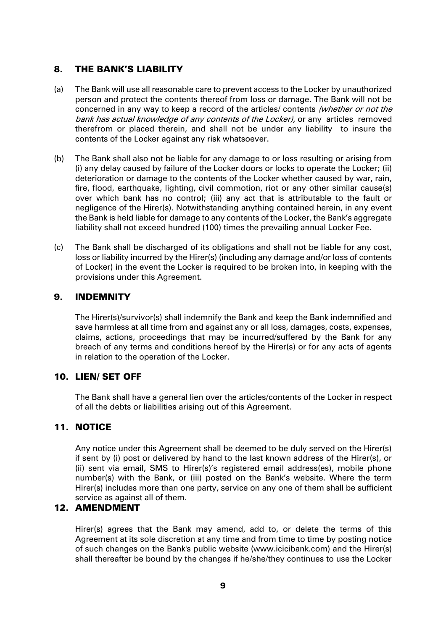### 8. THE BANK'S LIABILITY

- (a) The Bank will use all reasonable care to prevent access to the Locker by unauthorized person and protect the contents thereof from loss or damage. The Bank will not be concerned in any way to keep a record of the articles/ contents (whether or not the bank has actual knowledge of any contents of the Locker), or any articles removed therefrom or placed therein, and shall not be under any liability to insure the contents of the Locker against any risk whatsoever.
- (b) The Bank shall also not be liable for any damage to or loss resulting or arising from (i) any delay caused by failure of the Locker doors or locks to operate the Locker; (ii) deterioration or damage to the contents of the Locker whether caused by war, rain, fire, flood, earthquake, lighting, civil commotion, riot or any other similar cause(s) over which bank has no control; (iii) any act that is attributable to the fault or negligence of the Hirer(s). Notwithstanding anything contained herein, in any event the Bank is held liable for damage to any contents of the Locker, the Bank's aggregate liability shall not exceed hundred (100) times the prevailing annual Locker Fee.
- (c) The Bank shall be discharged of its obligations and shall not be liable for any cost, loss or liability incurred by the Hirer(s) (including any damage and/or loss of contents of Locker) in the event the Locker is required to be broken into, in keeping with the provisions under this Agreement.

### 9. INDEMNITY

The Hirer(s)/survivor(s) shall indemnify the Bank and keep the Bank indemnified and save harmless at all time from and against any or all loss, damages, costs, expenses, claims, actions, proceedings that may be incurred/suffered by the Bank for any breach of any terms and conditions hereof by the Hirer(s) or for any acts of agents in relation to the operation of the Locker.

### 10. LIEN/ SET OFF

The Bank shall have a general lien over the articles/contents of the Locker in respect of all the debts or liabilities arising out of this Agreement.

### 11. NOTICE

Any notice under this Agreement shall be deemed to be duly served on the Hirer(s) if sent by (i) post or delivered by hand to the last known address of the Hirer(s), or (ii) sent via email, SMS to Hirer(s)'s registered email address(es), mobile phone number(s) with the Bank, or (iii) posted on the Bank's website. Where the term Hirer(s) includes more than one party, service on any one of them shall be sufficient service as against all of them.

### 12. AMENDMENT

Hirer(s) agrees that the Bank may amend, add to, or delete the terms of this Agreement at its sole discretion at any time and from time to time by posting notice of such changes on the Bank's public website (www.icicibank.com) and the Hirer(s) shall thereafter be bound by the changes if he/she/they continues to use the Locker